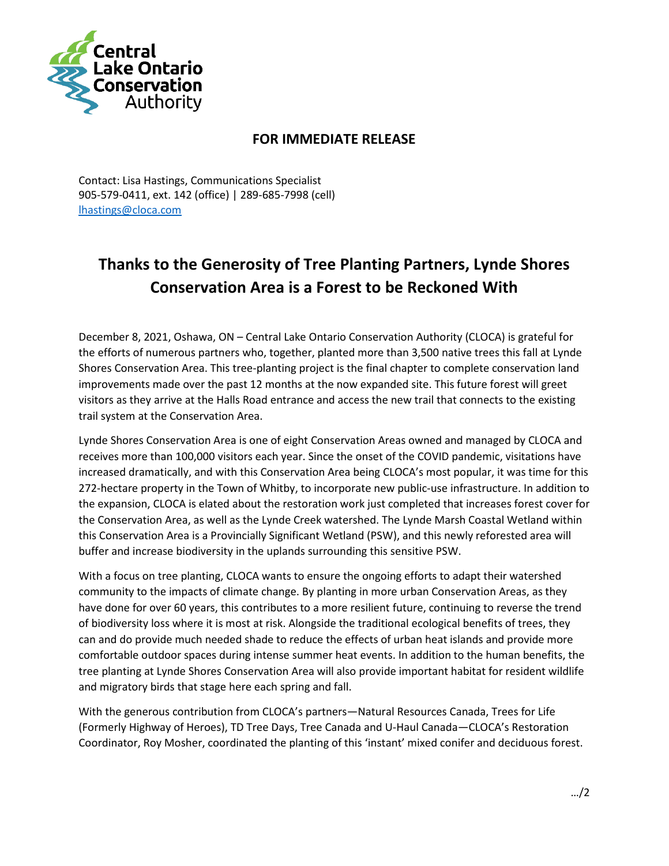

## **FOR IMMEDIATE RELEASE**

Contact: Lisa Hastings, Communications Specialist 905-579-0411, ext. 142 (office) | 289-685-7998 (cell) [lhastings@cloca.com](mailto:lhastings@cloca.com)

## **Thanks to the Generosity of Tree Planting Partners, Lynde Shores Conservation Area is a Forest to be Reckoned With**

December 8, 2021, Oshawa, ON – Central Lake Ontario Conservation Authority (CLOCA) is grateful for the efforts of numerous partners who, together, planted more than 3,500 native trees this fall at Lynde Shores Conservation Area. This tree-planting project is the final chapter to complete conservation land improvements made over the past 12 months at the now expanded site. This future forest will greet visitors as they arrive at the Halls Road entrance and access the new trail that connects to the existing trail system at the Conservation Area.

Lynde Shores Conservation Area is one of eight Conservation Areas owned and managed by CLOCA and receives more than 100,000 visitors each year. Since the onset of the COVID pandemic, visitations have increased dramatically, and with this Conservation Area being CLOCA's most popular, it was time for this 272-hectare property in the Town of Whitby, to incorporate new public-use infrastructure. In addition to the expansion, CLOCA is elated about the restoration work just completed that increases forest cover for the Conservation Area, as well as the Lynde Creek watershed. The Lynde Marsh Coastal Wetland within this Conservation Area is a Provincially Significant Wetland (PSW), and this newly reforested area will buffer and increase biodiversity in the uplands surrounding this sensitive PSW.

With a focus on tree planting, CLOCA wants to ensure the ongoing efforts to adapt their watershed community to the impacts of climate change. By planting in more urban Conservation Areas, as they have done for over 60 years, this contributes to a more resilient future, continuing to reverse the trend of biodiversity loss where it is most at risk. Alongside the traditional ecological benefits of trees, they can and do provide much needed shade to reduce the effects of urban heat islands and provide more comfortable outdoor spaces during intense summer heat events. In addition to the human benefits, the tree planting at Lynde Shores Conservation Area will also provide important habitat for resident wildlife and migratory birds that stage here each spring and fall.

With the generous contribution from CLOCA's partners—Natural Resources Canada, Trees for Life (Formerly Highway of Heroes), TD Tree Days, Tree Canada and U-Haul Canada—CLOCA's Restoration Coordinator, Roy Mosher, coordinated the planting of this 'instant' mixed conifer and deciduous forest.